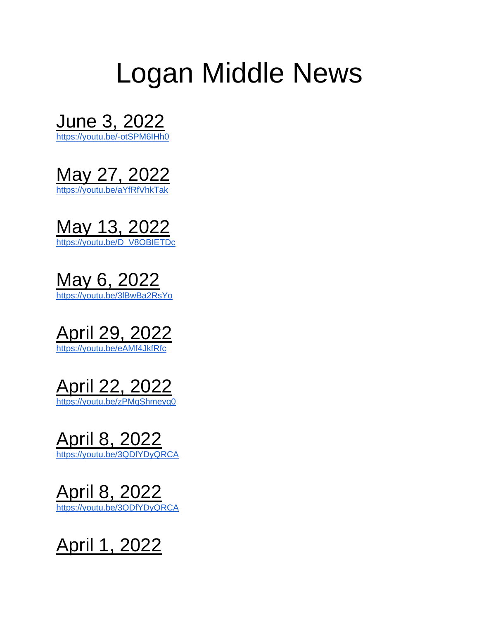# Logan Middle News

June 3, 2022

<https://youtu.be/-otSPM6IHh0>

May 27, 2022 <https://youtu.be/aYfRfVhkTak>

May 13, 2022 [https://youtu.be/D\\_V8OBIETDc](https://youtu.be/D_V8OBIETDc)

May 6, 2022 <https://youtu.be/3lBwBa2RsYo>





April 8, 2022 <https://youtu.be/3QDfYDyQRCA>

April 8, 2022 <https://youtu.be/3QDfYDyQRCA>

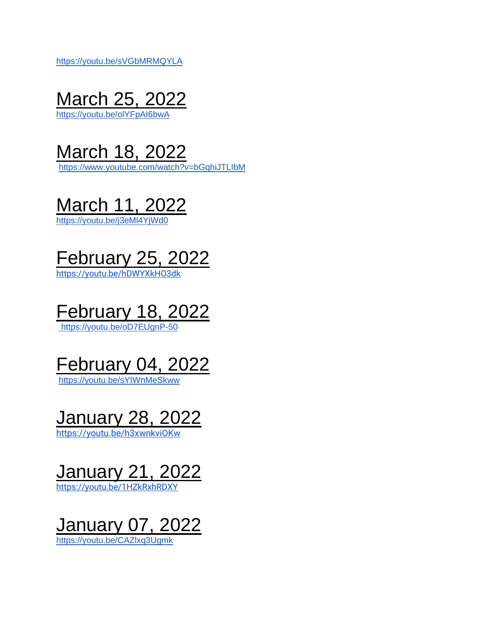<https://youtu.be/sVGbMRMQYLA>



<https://youtu.be/olYFpAI6bwA>



<https://www.youtube.com/watch?v=bGqhiJTLIbM>



<https://youtu.be/j3eMl4YjWd0>



<https://youtu.be/hDWYXkHO3dk>



<https://youtu.be/oD7EUgnP-50>

### February 04, 2022

<https://youtu.be/sYIWnMeSkww>

#### January 28, 2022

<https://youtu.be/h3xwnkviOKw>

# January 21, 2022

<https://youtu.be/1HZkRxhRDXY>

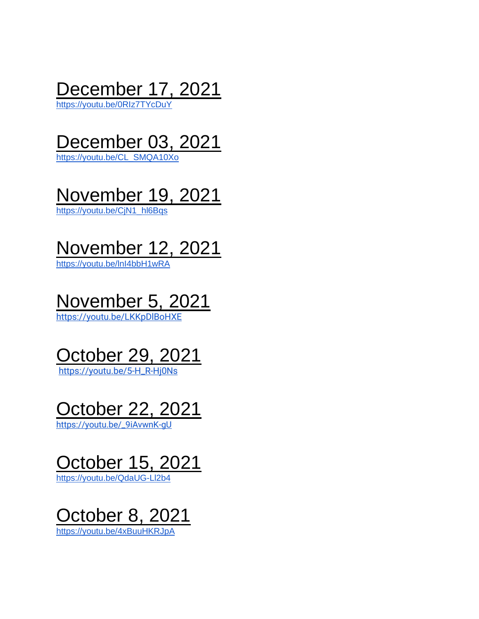

<https://youtu.be/0RIz7TYcDuY>

# December 03, 2021

[https://youtu.be/CL\\_SMQA10Xo](https://youtu.be/CL_SMQA10Xo)

### November 19, 2021

[https://youtu.be/CjN1\\_hl6Bqs](https://youtu.be/CjN1_hl6Bqs)

# November 12, 2021

<https://youtu.be/lnI4bbH1wRA>

# November 5, 2021

<https://youtu.be/LKKpDlBoHXE>



[https://youtu.be/5-H\\_R-Hj0Ns](https://youtu.be/5-H_R-Hj0Ns)





<https://youtu.be/QdaUG-Ll2b4>

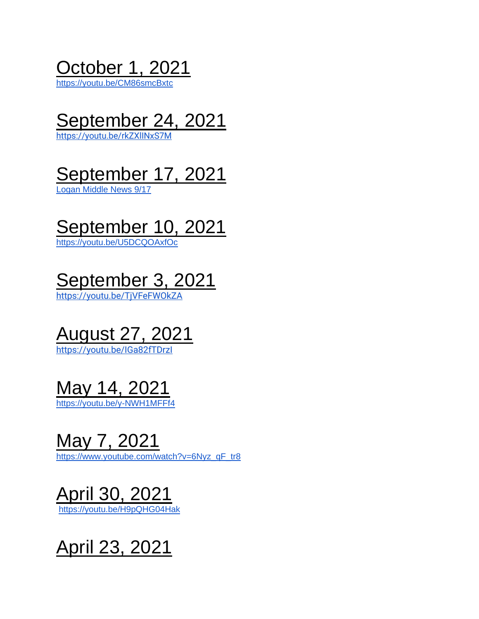October 1, 2021

<https://youtu.be/CM86smcBxtc>

### September 24, 2021

<https://youtu.be/rkZXlINxS7M>

### September 17, 2021

[Logan Middle News 9/17](https://www.youtube.com/watch?time_continue=158&v=ZcIYRMYsdHQ&feature=emb_logo)

### September 10, 2021

<https://youtu.be/U5DCQOAxfOc>

# September 3, 2021

<https://youtu.be/TjVFeFWOkZA>

# August 27, 2021

<https://youtu.be/IGa82fTDrzI>

### May 14, 2021

<https://youtu.be/y-NWH1MFFf4>

#### May 7, 2021

[https://www.youtube.com/watch?v=6Nyz\\_qF\\_tr8](https://www.youtube.com/watch?v=6Nyz_qF_tr8)

### April 30, 2021

<https://youtu.be/H9pQHG04Hak>

April 23, 2021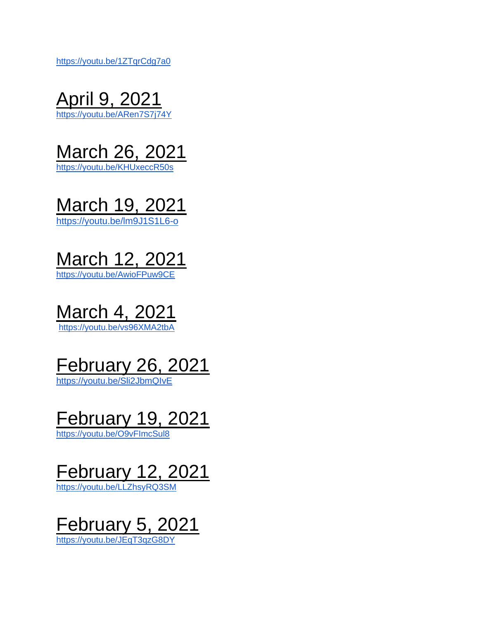<https://youtu.be/1ZTqrCdg7a0>





<https://youtu.be/KHUxeccR50s>



March 12, 2021 https://youtu.be/AwioFPuw9CE

### March 4, 2021

<https://youtu.be/vs96XMA2tbA>

### February 26, 2021

<https://youtu.be/Sli2JbmQIvE>

#### February 19, 2021

<https://youtu.be/O9vFImcSul8>

# February 12, 2021

<https://youtu.be/LLZhsyRQ3SM>

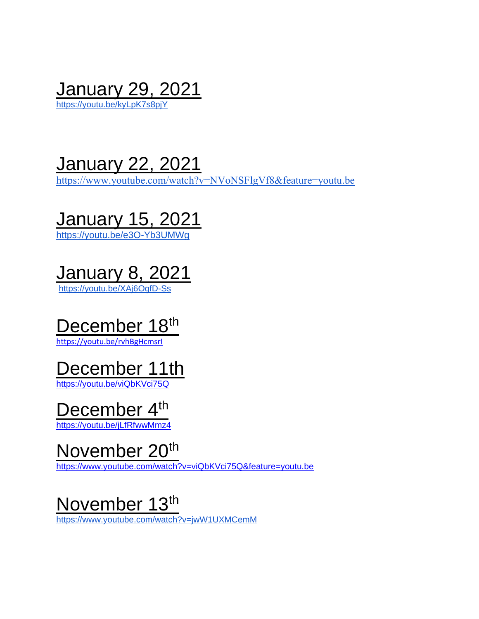January 29, 2021 <https://youtu.be/kyLpK7s8pjY>

January 22, 2021

<https://www.youtube.com/watch?v=NVoNSFlgVf8&feature=youtu.be>





<https://youtu.be/XAj6OgfD-Ss>

### December 18<sup>th</sup>

<https://youtu.be/rvhBgHcmsrI>

### December 11th

<https://youtu.be/viQbKVci75Q>

#### December 4<sup>th</sup>

<https://youtu.be/jLfRfwwMmz4>

#### November 20<sup>th</sup>

<https://www.youtube.com/watch?v=viQbKVci75Q&feature=youtu.be>

#### November 13th

<https://www.youtube.com/watch?v=jwW1UXMCemM>